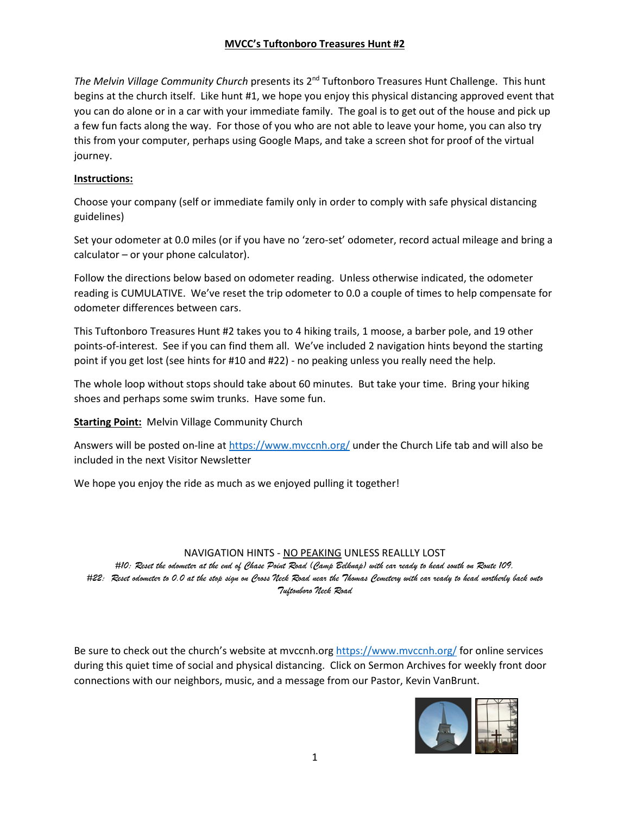## **MVCC's Tuftonboro Treasures Hunt #2**

*The Melvin Village Community Church* presents its 2nd Tuftonboro Treasures Hunt Challenge. This hunt begins at the church itself. Like hunt #1, we hope you enjoy this physical distancing approved event that you can do alone or in a car with your immediate family. The goal is to get out of the house and pick up a few fun facts along the way. For those of you who are not able to leave your home, you can also try this from your computer, perhaps using Google Maps, and take a screen shot for proof of the virtual journey.

## **Instructions:**

Choose your company (self or immediate family only in order to comply with safe physical distancing guidelines)

Set your odometer at 0.0 miles (or if you have no 'zero-set' odometer, record actual mileage and bring a calculator – or your phone calculator).

Follow the directions below based on odometer reading. Unless otherwise indicated, the odometer reading is CUMULATIVE. We've reset the trip odometer to 0.0 a couple of times to help compensate for odometer differences between cars.

This Tuftonboro Treasures Hunt #2 takes you to 4 hiking trails, 1 moose, a barber pole, and 19 other points-of-interest. See if you can find them all. We've included 2 navigation hints beyond the starting point if you get lost (see hints for #10 and #22) - no peaking unless you really need the help.

The whole loop without stops should take about 60 minutes. But take your time. Bring your hiking shoes and perhaps some swim trunks. Have some fun.

**Starting Point:** Melvin Village Community Church

Answers will be posted on-line at https://www.mvccnh.org/ under the Church Life tab and will also be included in the next Visitor Newsletter

We hope you enjoy the ride as much as we enjoyed pulling it together!

## NAVIGATION HINTS - NO PEAKING UNLESS REALLLY LOST

*#10: Reset the odometer at the end of Chase Point Road (Camp Belknap) with car ready to head south on Route 109. #22: Reset odometer to 0.0 at the stop sign on Cross Neck Road near the Thomas Cemetery with car ready to head northerly back onto Tuftonboro Neck Road* 

Be sure to check out the church's website at mvccnh.org https://www.mvccnh.org/ for online services during this quiet time of social and physical distancing. Click on Sermon Archives for weekly front door connections with our neighbors, music, and a message from our Pastor, Kevin VanBrunt.